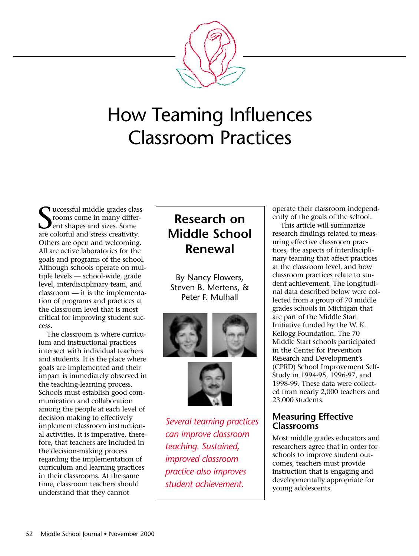

# How Teaming Influences Classroom Practices

Successful middle grades class<br>
comme in many different shapes and sizes. Some<br>
are colorful and stress creativity. uccessful middle grades classrooms come in many different shapes and sizes. Some Others are open and welcoming. All are active laboratories for the goals and programs of the school. Although schools operate on multiple levels — school-wide, grade level, interdisciplinary team, and classroom — it is the implementation of programs and practices at the classroom level that is most critical for improving student success.

The classroom is where curriculum and instructional practices intersect with individual teachers and students. It is the place where goals are implemented and their impact is immediately observed in the teaching-learning process. Schools must establish good communication and collaboration among the people at each level of decision making to effectively implement classroom instructional activities. It is imperative, therefore, that teachers are included in the decision-making process regarding the implementation of curriculum and learning practices in their classrooms. At the same time, classroom teachers should understand that they cannot

# **Research on Middle School Renewal**

By Nancy Flowers, Steven B. Mertens, & Peter F. Mulhall





*Several teaming practices can improve classroom teaching. Sustained, improved classroom practice also improves student achievement.*

operate their classroom independently of the goals of the school.

This article will summarize research findings related to measuring effective classroom practices, the aspects of interdisciplinary teaming that affect practices at the classroom level, and how classroom practices relate to student achievement. The longitudinal data described below were collected from a group of 70 middle grades schools in Michigan that are part of the Middle Start Initiative funded by the W. K. Kellogg Foundation. The 70 Middle Start schools participated in the Center for Prevention Research and Development's (CPRD) School Improvement Self-Study in 1994-95, 1996-97, and 1998-99. These data were collected from nearly 2,000 teachers and 23,000 students.

#### **Measuring Effective Classrooms**

Most middle grades educators and researchers agree that in order for schools to improve student outcomes, teachers must provide instruction that is engaging and developmentally appropriate for young adolescents.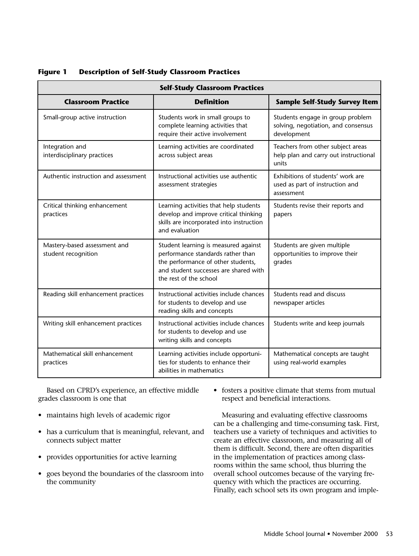| <b>Self-Study Classroom Practices</b>               |                                                                                                                                                                                    |                                                                                        |  |  |  |
|-----------------------------------------------------|------------------------------------------------------------------------------------------------------------------------------------------------------------------------------------|----------------------------------------------------------------------------------------|--|--|--|
| <b>Classroom Practice</b>                           | <b>Definition</b>                                                                                                                                                                  | <b>Sample Self-Study Survey Item</b>                                                   |  |  |  |
| Small-group active instruction                      | Students work in small groups to<br>complete learning activities that<br>require their active involvement                                                                          | Students engage in group problem<br>solving, negotiation, and consensus<br>development |  |  |  |
| Integration and<br>interdisciplinary practices      | Learning activities are coordinated<br>across subject areas                                                                                                                        | Teachers from other subject areas<br>help plan and carry out instructional<br>units    |  |  |  |
| Authentic instruction and assessment                | Instructional activities use authentic<br>assessment strategies                                                                                                                    | Exhibitions of students' work are<br>used as part of instruction and<br>assessment     |  |  |  |
| Critical thinking enhancement<br>practices          | Learning activities that help students<br>develop and improve critical thinking<br>skills are incorporated into instruction<br>and evaluation                                      | Students revise their reports and<br>papers                                            |  |  |  |
| Mastery-based assessment and<br>student recognition | Student learning is measured against<br>performance standards rather than<br>the performance of other students,<br>and student successes are shared with<br>the rest of the school | Students are given multiple<br>opportunities to improve their<br>grades                |  |  |  |
| Reading skill enhancement practices                 | Instructional activities include chances<br>for students to develop and use<br>reading skills and concepts                                                                         | Students read and discuss<br>newspaper articles                                        |  |  |  |
| Writing skill enhancement practices                 | Instructional activities include chances<br>for students to develop and use<br>writing skills and concepts                                                                         | Students write and keep journals                                                       |  |  |  |
| Mathematical skill enhancement<br>practices         | Learning activities include opportuni-<br>ties for students to enhance their<br>abilities in mathematics                                                                           | Mathematical concepts are taught<br>using real-world examples                          |  |  |  |

**Figure 1 Description of Self-Study Classroom Practices**

Based on CPRD's experience, an effective middle grades classroom is one that

- maintains high levels of academic rigor
- has a curriculum that is meaningful, relevant, and connects subject matter
- provides opportunities for active learning
- goes beyond the boundaries of the classroom into the community

• fosters a positive climate that stems from mutual respect and beneficial interactions.

Measuring and evaluating effective classrooms can be a challenging and time-consuming task. First, teachers use a variety of techniques and activities to create an effective classroom, and measuring all of them is difficult. Second, there are often disparities in the implementation of practices among classrooms within the same school, thus blurring the overall school outcomes because of the varying frequency with which the practices are occurring. Finally, each school sets its own program and imple-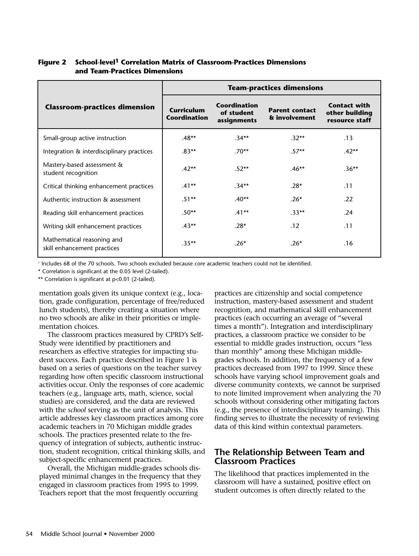|                                                           | <b>Team-practices dimensions</b>  |                                           |                                        |                                                         |
|-----------------------------------------------------------|-----------------------------------|-------------------------------------------|----------------------------------------|---------------------------------------------------------|
| <b>Classroom-practices dimension</b>                      | Curriculum<br><b>Coordination</b> | Coordination<br>of student<br>assignments | <b>Parent contact</b><br>& involvement | <b>Contact with</b><br>other building<br>resource staff |
| Small-group active instruction                            | $.48**$                           | $.34**$                                   | $.32**$                                | .13                                                     |
| Integration & interdisciplinary practices                 | $.83**$                           | $.70**$                                   | $.57**$                                | $.42**$                                                 |
| Mastery-based assessment &<br>student recognition         | $.42**$                           | $.52**$                                   | $.46**$                                | $.36**$                                                 |
| Critical thinking enhancement practices                   | $.41**$                           | $.34**$                                   | $.28*$                                 | .11                                                     |
| Authentic instruction & assessment                        | $.51**$                           | $.40**$                                   | $.26*$                                 | .22                                                     |
| Reading skill enhancement practices                       | $.50**$                           | $.41**$                                   | $.33**$                                | .24                                                     |
| Writing skill enhancement practices                       | $.43**$                           | $.28*$                                    | .12                                    | .11                                                     |
| Mathematical reasoning and<br>skill enhancement practices | $.35***$                          | $.26*$                                    | $.26*$                                 | .16                                                     |

#### **Figure 2 School-level1 Correlation Matrix of Classroom-Practices Dimensions and Team-Practices Dimensions**

<sup>1</sup> Includes 68 of the 70 schools. Two schools excluded because core academic teachers could not be identified.

\* Correlation is significant at the 0.05 level (2-tailed).

\*\* Correlation is significant at p<0.01 (2-tailed).

mentation goals given its unique context (e.g., location, grade configuration, percentage of free/reduced lunch students), thereby creating a situation where no two schools are alike in their priorities or implementation choices.

The classroom practices measured by CPRD's Self-Study were identified by practitioners and researchers as effective strategies for impacting student success. Each practice described in Figure 1 is based on a series of questions on the teacher survey regarding how often specific classroom instructional activities occur. Only the responses of core academic teachers (e.g., language arts, math, science, social studies) are considered, and the data are reviewed with the *school* serving as the unit of analysis. This article addresses key classroom practices among core academic teachers in 70 Michigan middle grades schools. The practices presented relate to the frequency of integration of subjects, authentic instruction, student recognition, critical thinking skills, and subject-specific enhancement practices.

Overall, the Michigan middle-grades schools displayed minimal changes in the frequency that they engaged in classroom practices from 1995 to 1999. Teachers report that the most frequently occurring

practices are citizenship and social competence instruction, mastery-based assessment and student recognition, and mathematical skill enhancement practices (each occurring an average of "several times a month"). Integration and interdisciplinary practices, a classroom practice we consider to be essential to middle grades instruction, occurs "less than monthly" among these Michigan middlegrades schools. In addition, the frequency of a few practices decreased from 1997 to 1999. Since these schools have varying school improvement goals and diverse community contexts, we cannot be surprised to note limited improvement when analyzing the 70 schools without considering other mitigating factors (e.g., the presence of interdisciplinary teaming). This finding serves to illustrate the necessity of reviewing data of this kind within contextual parameters.

#### **The Relationship Between Team and Classroom Practices**

The likelihood that practices implemented in the classroom will have a sustained, positive effect on student outcomes is often directly related to the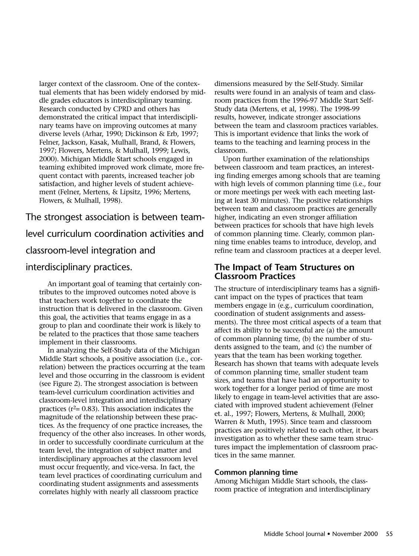larger context of the classroom. One of the contextual elements that has been widely endorsed by middle grades educators is interdisciplinary teaming. Research conducted by CPRD and others has demonstrated the critical impact that interdisciplinary teams have on improving outcomes at many diverse levels (Arhar, 1990; Dickinson & Erb, 1997; Felner, Jackson, Kasak, Mulhall, Brand, & Flowers, 1997; Flowers, Mertens, & Mulhall, 1999; Lewis, 2000). Michigan Middle Start schools engaged in teaming exhibited improved work climate, more frequent contact with parents, increased teacher job satisfaction, and higher levels of student achievement (Felner, Mertens, & Lipsitz, 1996; Mertens, Flowers, & Mulhall, 1998).

The strongest association is between teamlevel curriculum coordination activities and

### classroom-level integration and

#### interdisciplinary practices.

An important goal of teaming that certainly contributes to the improved outcomes noted above is that teachers work together to coordinate the instruction that is delivered in the classroom. Given this goal, the activities that teams engage in as a group to plan and coordinate their work is likely to be related to the practices that those same teachers implement in their classrooms.

In analyzing the Self-Study data of the Michigan Middle Start schools, a positive association (i.e., correlation) between the practices occurring at the team level and those occurring in the classroom is evident (see Figure 2). The strongest association is between team-level curriculum coordination activities and classroom-level integration and interdisciplinary practices ( $r^2$ = 0.83). This association indicates the magnitude of the relationship between these practices. As the frequency of one practice increases, the frequency of the other also increases. In other words, in order to successfully coordinate curriculum at the team level, the integration of subject matter and interdisciplinary approaches at the classroom level must occur frequently, and vice-versa. In fact, the team level practices of coordinating curriculum and coordinating student assignments and assessments correlates highly with nearly all classroom practice

dimensions measured by the Self-Study. Similar results were found in an analysis of team and classroom practices from the 1996-97 Middle Start Self-Study data (Mertens, et al, 1998). The 1998-99 results, however, indicate stronger associations between the team and classroom practices variables. This is important evidence that links the work of teams to the teaching and learning process in the classroom.

Upon further examination of the relationships between classroom and team practices, an interesting finding emerges among schools that are teaming with high levels of common planning time (i.e., four or more meetings per week with each meeting lasting at least 30 minutes). The positive relationships between team and classroom practices are generally higher, indicating an even stronger affiliation between practices for schools that have high levels of common planning time. Clearly, common planning time enables teams to introduce, develop, and refine team and classroom practices at a deeper level.

#### **The Impact of Team Structures on Classroom Practices**

The structure of interdisciplinary teams has a significant impact on the types of practices that team members engage in (e.g., curriculum coordination, coordination of student assignments and assessments). The three most critical aspects of a team that affect its ability to be successful are (a) the amount of common planning time, (b) the number of students assigned to the team, and (c) the number of years that the team has been working together. Research has shown that teams with adequate levels of common planning time, smaller student team sizes, and teams that have had an opportunity to work together for a longer period of time are most likely to engage in team-level activities that are associated with improved student achievement (Felner et. al., 1997; Flowers, Mertens, & Mulhall, 2000; Warren & Muth, 1995). Since team and classroom practices are positively related to each other, it bears investigation as to whether these same team structures impact the implementation of classroom practices in the same manner.

#### **Common planning time**

Among Michigan Middle Start schools, the classroom practice of integration and interdisciplinary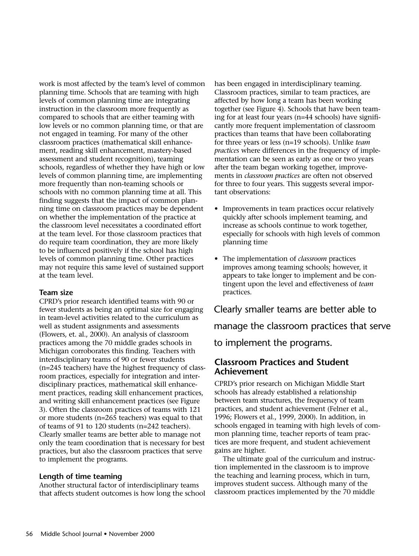work is most affected by the team's level of common planning time. Schools that are teaming with high levels of common planning time are integrating instruction in the classroom more frequently as compared to schools that are either teaming with low levels or no common planning time, or that are not engaged in teaming. For many of the other classroom practices (mathematical skill enhancement, reading skill enhancement, mastery-based assessment and student recognition), teaming schools, regardless of whether they have high or low levels of common planning time, are implementing more frequently than non-teaming schools or schools with no common planning time at all. This finding suggests that the impact of common planning time on classroom practices may be dependent on whether the implementation of the practice at the classroom level necessitates a coordinated effort at the team level. For those classroom practices that do require team coordination, they are more likely to be influenced positively if the school has high levels of common planning time. Other practices may not require this same level of sustained support at the team level.

#### **Team size**

CPRD's prior research identified teams with 90 or fewer students as being an optimal size for engaging in team-level activities related to the curriculum as well as student assignments and assessments (Flowers, et. al., 2000). An analysis of classroom practices among the 70 middle grades schools in Michigan corroborates this finding. Teachers with interdisciplinary teams of 90 or fewer students (n=245 teachers) have the highest frequency of classroom practices, especially for integration and interdisciplinary practices, mathematical skill enhancement practices, reading skill enhancement practices, and writing skill enhancement practices (see Figure 3). Often the classroom practices of teams with 121 or more students (n=265 teachers) was equal to that of teams of 91 to 120 students (n=242 teachers). Clearly smaller teams are better able to manage not only the team coordination that is necessary for best practices, but also the classroom practices that serve to implement the programs.

#### **Length of time teaming**

Another structural factor of interdisciplinary teams that affects student outcomes is how long the school has been engaged in interdisciplinary teaming. Classroom practices, similar to team practices, are affected by how long a team has been working together (see Figure 4). Schools that have been teaming for at least four years (n=44 schools) have significantly more frequent implementation of classroom practices than teams that have been collaborating for three years or less (n=19 schools). Unlike *team practices* where differences in the frequency of implementation can be seen as early as one or two years after the team began working together, improvements in *classroom practices* are often not observed for three to four years. This suggests several important observations:

- Improvements in team practices occur relatively quickly after schools implement teaming, and increase as schools continue to work together, especially for schools with high levels of common planning time
- The implementation of *classroom* practices improves among teaming schools; however, it appears to take longer to implement and be contingent upon the level and effectiveness of *team* practices.

Clearly smaller teams are better able to manage the classroom practices that serve to implement the programs.

#### **Classroom Practices and Student Achievement**

CPRD's prior research on Michigan Middle Start schools has already established a relationship between team structures, the frequency of team practices, and student achievement (Felner et al., 1996; Flowers et al., 1999, 2000). In addition, in schools engaged in teaming with high levels of common planning time, teacher reports of team practices are more frequent, and student achievement gains are higher.

The ultimate goal of the curriculum and instruction implemented in the classroom is to improve the teaching and learning process, which in turn, improves student success. Although many of the classroom practices implemented by the 70 middle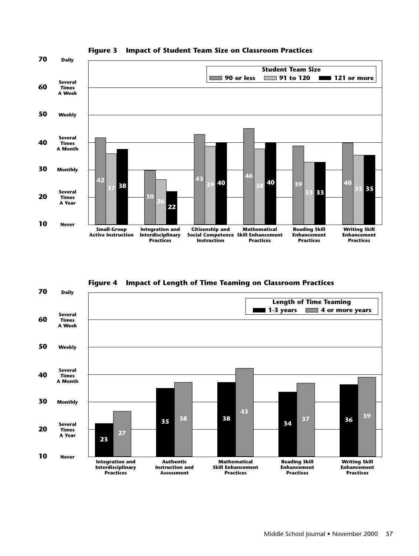

**Figure 3 Impact of Student Team Size on Classroom Practices**

**Figure 4 Impact of Length of Time Teaming on Classroom Practices**

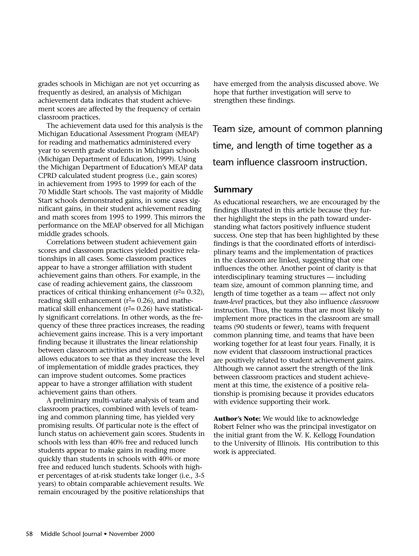grades schools in Michigan are not yet occurring as frequently as desired, an analysis of Michigan achievement data indicates that student achievement scores are affected by the frequency of certain classroom practices.

The achievement data used for this analysis is the Michigan Educational Assessment Program (MEAP) for reading and mathematics administered every year to seventh grade students in Michigan schools (Michigan Department of Education, 1999). Using the Michigan Department of Education's MEAP data CPRD calculated student progress (i.e., gain scores) in achievement from 1995 to 1999 for each of the 70 Middle Start schools. The vast majority of Middle Start schools demonstrated gains, in some cases significant gains, in their student achievement reading and math scores from 1995 to 1999. This mirrors the performance on the MEAP observed for all Michigan middle grades schools.

Correlations between student achievement gain scores and classroom practices yielded positive relationships in all cases. Some classroom practices appear to have a stronger affiliation with student achievement gains than others. For example, in the case of reading achievement gains, the classroom practices of critical thinking enhancement  $(r^2=0.32)$ , reading skill enhancement ( $r^2$ = 0.26), and mathematical skill enhancement ( $r^2$ = 0.26) have statistically significant correlations. In other words, as the frequency of these three practices increases, the reading achievement gains increase. This is a very important finding because it illustrates the linear relationship between classroom activities and student success. It allows educators to see that as they increase the level of implementation of middle grades practices, they can improve student outcomes. Some practices appear to have a stronger affiliation with student achievement gains than others.

A preliminary multi-variate analysis of team and classroom practices, combined with levels of teaming and common planning time, has yielded very promising results. Of particular note is the effect of lunch status on achievement gain scores. Students in schools with less than 40% free and reduced lunch students appear to make gains in reading more quickly than students in schools with 40% or more free and reduced lunch students. Schools with higher percentages of at-risk students take longer (i.e., 3-5 years) to obtain comparable achievement results. We remain encouraged by the positive relationships that

have emerged from the analysis discussed above. We hope that further investigation will serve to strengthen these findings.

Team size, amount of common planning time, and length of time together as a team influence classroom instruction.

#### **Summary**

As educational researchers, we are encouraged by the findings illustrated in this article because they further highlight the steps in the path toward understanding what factors positively influence student success. One step that has been highlighted by these findings is that the coordinated efforts of interdisciplinary teams and the implementation of practices in the classroom are linked, suggesting that one influences the other. Another point of clarity is that interdisciplinary teaming structures — including team size, amount of common planning time, and length of time together as a team — affect not only *team-level* practices, but they also influence *classroom* instruction. Thus, the teams that are most likely to implement more practices in the classroom are small teams (90 students or fewer), teams with frequent common planning time, and teams that have been working together for at least four years. Finally, it is now evident that classroom instructional practices are positively related to student achievement gains. Although we cannot assert the strength of the link between classroom practices and student achievement at this time, the existence of a positive relationship is promising because it provides educators with evidence supporting their work.

**Author's Note:** We would like to acknowledge Robert Felner who was the principal investigator on the initial grant from the W. K. Kellogg Foundation to the University of Illinois. His contribution to this work is appreciated.